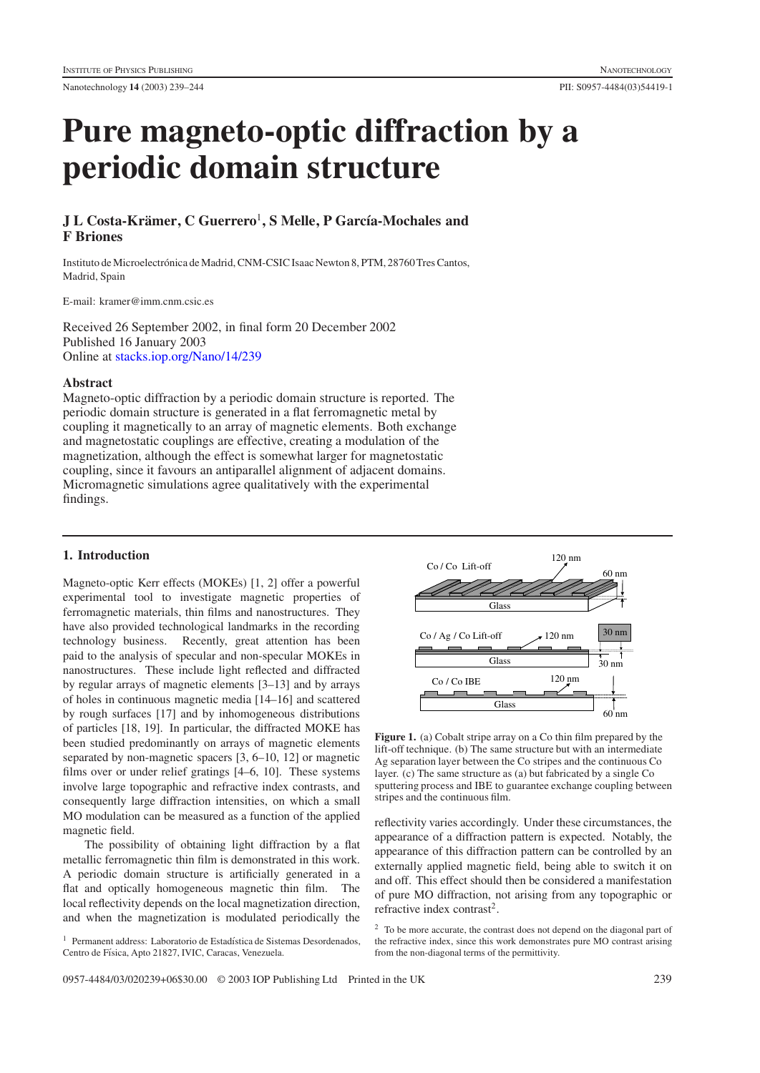Nanotechnology **14** (2003) 239–244 PII: S0957-4484(03)54419-1

# **Pure magneto-optic diffraction by a periodic domain structure**

# **J L Costa-Kramer, C Guerrero ¨** <sup>1</sup>**, S Melle, P Garc´ıa-Mochales and F Briones**

Instituto de Microelectrónica de Madrid, CNM-CSIC Isaac Newton 8, PTM, 28760 Tres Cantos, Madrid, Spain

E-mail: kramer@imm.cnm.csic.es

Received 26 September 2002, in final form 20 December 2002 Published 16 January 2003 Online at [stacks.iop.org/Nano/14/239](http://stacks.iop.org/Nano/14/239)

### **Abstract**

Magneto-optic diffraction by a periodic domain structure is reported. The periodic domain structure is generated in a flat ferromagnetic metal by coupling it magnetically to an array of magnetic elements. Both exchange and magnetostatic couplings are effective, creating a modulation of the magnetization, although the effect is somewhat larger for magnetostatic coupling, since it favours an antiparallel alignment of adjacent domains. Micromagnetic simulations agree qualitatively with the experimental findings.

# **1. Introduction**

Magneto-optic Kerr effects (MOKEs) [1, 2] offer a powerful experimental tool to investigate magnetic properties of ferromagnetic materials, thin films and nanostructures. They have also provided technological landmarks in the recording technology business. Recently, great attention has been paid to the analysis of specular and non-specular MOKEs in nanostructures. These include light reflected and diffracted by regular arrays of magnetic elements [3–13] and by arrays of holes in continuous magnetic media [14–16] and scattered by rough surfaces [17] and by inhomogeneous distributions of particles [18, 19]. In particular, the diffracted MOKE has been studied predominantly on arrays of magnetic elements separated by non-magnetic spacers [3, 6–10, 12] or magnetic films over or under relief gratings [4–6, 10]. These systems involve large topographic and refractive index contrasts, and consequently large diffraction intensities, on which a small MO modulation can be measured as a function of the applied magnetic field.

The possibility of obtaining light diffraction by a flat metallic ferromagnetic thin film is demonstrated in this work. A periodic domain structure is artificially generated in a flat and optically homogeneous magnetic thin film. The local reflectivity depends on the local magnetization direction, and when the magnetization is modulated periodically the

<sup>1</sup> Permanent address: Laboratorio de Estadística de Sistemas Desordenados, Centro de Física, Apto 21827, IVIC, Caracas, Venezuela.



**Figure 1.** (a) Cobalt stripe array on a Co thin film prepared by the lift-off technique. (b) The same structure but with an intermediate Ag separation layer between the Co stripes and the continuous Co layer. (c) The same structure as (a) but fabricated by a single Co sputtering process and IBE to guarantee exchange coupling between stripes and the continuous film.

reflectivity varies accordingly. Under these circumstances, the appearance of a diffraction pattern is expected. Notably, the appearance of this diffraction pattern can be controlled by an externally applied magnetic field, being able to switch it on and off. This effect should then be considered a manifestation of pure MO diffraction, not arising from any topographic or refractive index contrast<sup>2</sup>.

<sup>2</sup> To be more accurate, the contrast does not depend on the diagonal part of the refractive index, since this work demonstrates pure MO contrast arising from the non-diagonal terms of the permittivity.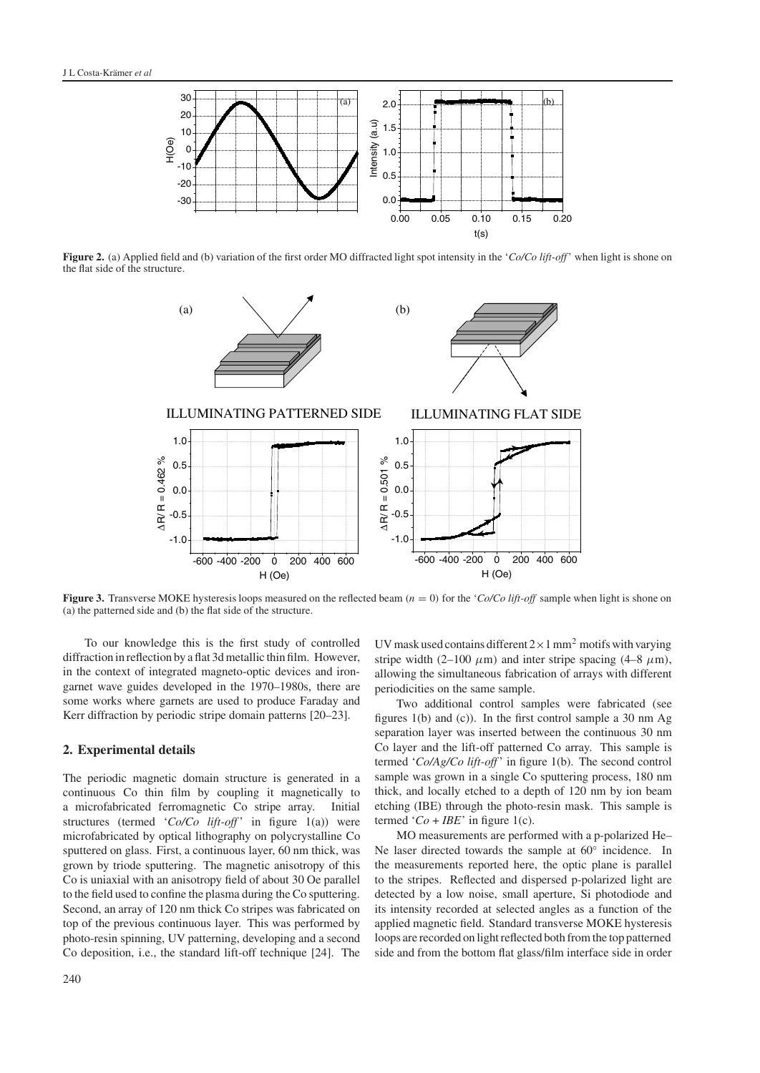

**Figure 2.** (a) Applied field and (b) variation of the first order MO diffracted light spot intensity in the '*Co/Co lift-off*' when light is shone on the flat side of the structure.



**Figure 3.** Transverse MOKE hysteresis loops measured on the reflected beam ( $n = 0$ ) for the '*Co/Co lift-off* sample when light is shone on (a) the patterned side and (b) the flat side of the structure.

To our knowledge this is the first study of controlled diffraction in reflection by a flat 3d metallic thin film. However, in the context of integrated magneto-optic devices and irongarnet wave guides developed in the 1970–1980s, there are some works where garnets are used to produce Faraday and Kerr diffraction by periodic stripe domain patterns [20–23].

#### **2. Experimental details**

The periodic magnetic domain structure is generated in a continuous Co thin film by coupling it magnetically to a microfabricated ferromagnetic Co stripe array. Initial structures (termed '*Co/Co lift-off*' in figure 1(a)) were microfabricated by optical lithography on polycrystalline Co sputtered on glass. First, a continuous layer, 60 nm thick, was grown by triode sputtering. The magnetic anisotropy of this Co is uniaxial with an anisotropy field of about 30 Oe parallel to the field used to confine the plasma during the Co sputtering. Second, an array of 120 nm thick Co stripes was fabricated on top of the previous continuous layer. This was performed by photo-resin spinning, UV patterning, developing and a second Co deposition, i.e., the standard lift-off technique [24]. The

UV mask used contains different  $2 \times 1$  mm<sup>2</sup> motifs with varying stripe width (2–100  $\mu$ m) and inter stripe spacing (4–8  $\mu$ m), allowing the simultaneous fabrication of arrays with different periodicities on the same sample.

Two additional control samples were fabricated (see figures 1(b) and (c)). In the first control sample a 30 nm Ag separation layer was inserted between the continuous 30 nm Co layer and the lift-off patterned Co array. This sample is termed '*Co/Ag/Co lift-off* ' in figure 1(b). The second control sample was grown in a single Co sputtering process, 180 nm thick, and locally etched to a depth of 120 nm by ion beam etching (IBE) through the photo-resin mask. This sample is termed  $'Co + IBE'$  in figure 1(c).

MO measurements are performed with a p-polarized He– Ne laser directed towards the sample at 60◦ incidence. In the measurements reported here, the optic plane is parallel to the stripes. Reflected and dispersed p-polarized light are detected by a low noise, small aperture, Si photodiode and its intensity recorded at selected angles as a function of the applied magnetic field. Standard transverse MOKE hysteresis loops are recorded on light reflected both from the top patterned side and from the bottom flat glass/film interface side in order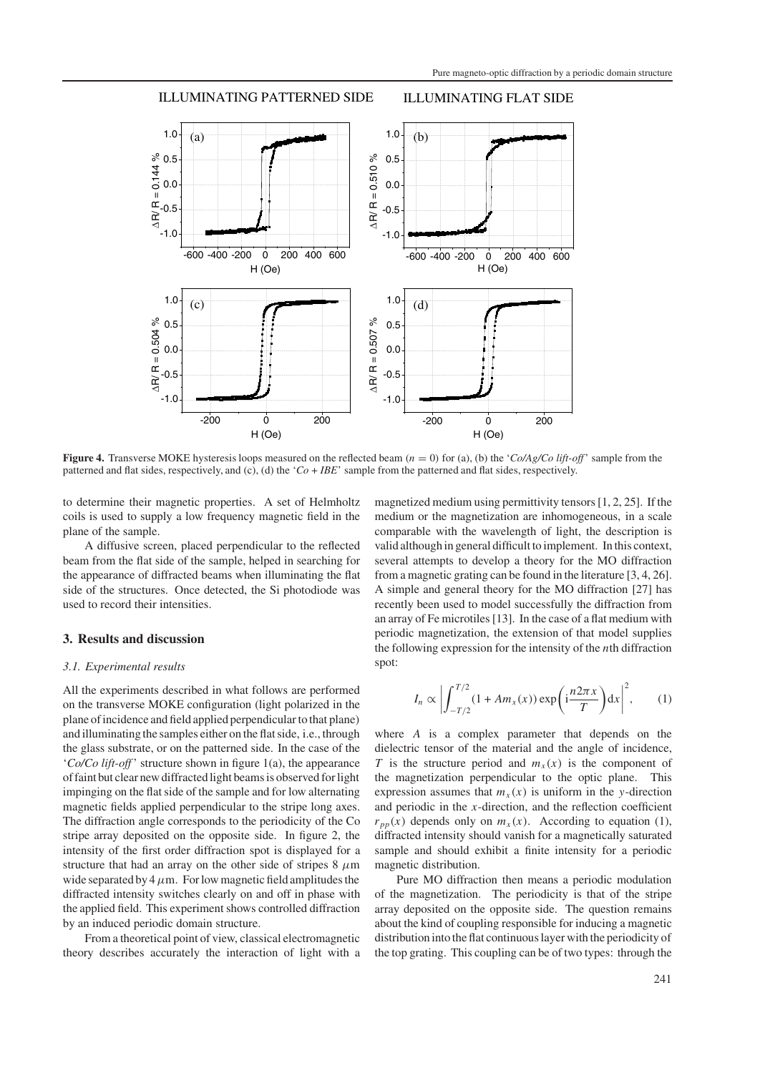

**Figure 4.** Transverse MOKE hysteresis loops measured on the reflected beam (*n* = 0) for (a), (b) the '*Co/Ag/Co lift-off*' sample from the patterned and flat sides, respectively, and (c), (d) the '*Co* + *IBE*' sample from the patterned and flat sides, respectively.

to determine their magnetic properties. A set of Helmholtz coils is used to supply a low frequency magnetic field in the plane of the sample.

A diffusive screen, placed perpendicular to the reflected beam from the flat side of the sample, helped in searching for the appearance of diffracted beams when illuminating the flat side of the structures. Once detected, the Si photodiode was used to record their intensities.

## **3. Results and discussion**

#### *3.1. Experimental results*

All the experiments described in what follows are performed on the transverse MOKE configuration (light polarized in the plane of incidence and field applied perpendicular to that plane) and illuminating the samples either on the flat side, i.e., through the glass substrate, or on the patterned side. In the case of the '*Co/Co lift-off*' structure shown in figure 1(a), the appearance of faint but clear new diffracted light beams is observed for light impinging on the flat side of the sample and for low alternating magnetic fields applied perpendicular to the stripe long axes. The diffraction angle corresponds to the periodicity of the Co stripe array deposited on the opposite side. In figure 2, the intensity of the first order diffraction spot is displayed for a structure that had an array on the other side of stripes  $8 \mu m$ wide separated by  $4 \mu m$ . For low magnetic field amplitudes the diffracted intensity switches clearly on and off in phase with the applied field. This experiment shows controlled diffraction by an induced periodic domain structure.

From a theoretical point of view, classical electromagnetic theory describes accurately the interaction of light with a

magnetized medium using permittivity tensors [1, 2, 25]. If the medium or the magnetization are inhomogeneous, in a scale comparable with the wavelength of light, the description is valid although in general difficult to implement. In this context, several attempts to develop a theory for the MO diffraction from a magnetic grating can be found in the literature [3, 4, 26]. A simple and general theory for the MO diffraction [27] has recently been used to model successfully the diffraction from an array of Fe microtiles [13]. In the case of a flat medium with periodic magnetization, the extension of that model supplies the following expression for the intensity of the *n*th diffraction spot:

$$
I_n \propto \left| \int_{-T/2}^{T/2} (1 + Am_x(x)) \exp\left(i\frac{n2\pi x}{T}\right) dx \right|^2, \qquad (1)
$$

where *A* is a complex parameter that depends on the dielectric tensor of the material and the angle of incidence, *T* is the structure period and  $m<sub>x</sub>(x)$  is the component of the magnetization perpendicular to the optic plane. This expression assumes that  $m<sub>x</sub>(x)$  is uniform in the *y*-direction and periodic in the *x*-direction, and the reflection coefficient  $r_{pp}(x)$  depends only on  $m_x(x)$ . According to equation (1), diffracted intensity should vanish for a magnetically saturated sample and should exhibit a finite intensity for a periodic magnetic distribution.

Pure MO diffraction then means a periodic modulation of the magnetization. The periodicity is that of the stripe array deposited on the opposite side. The question remains about the kind of coupling responsible for inducing a magnetic distribution into the flat continuous layer with the periodicity of the top grating. This coupling can be of two types: through the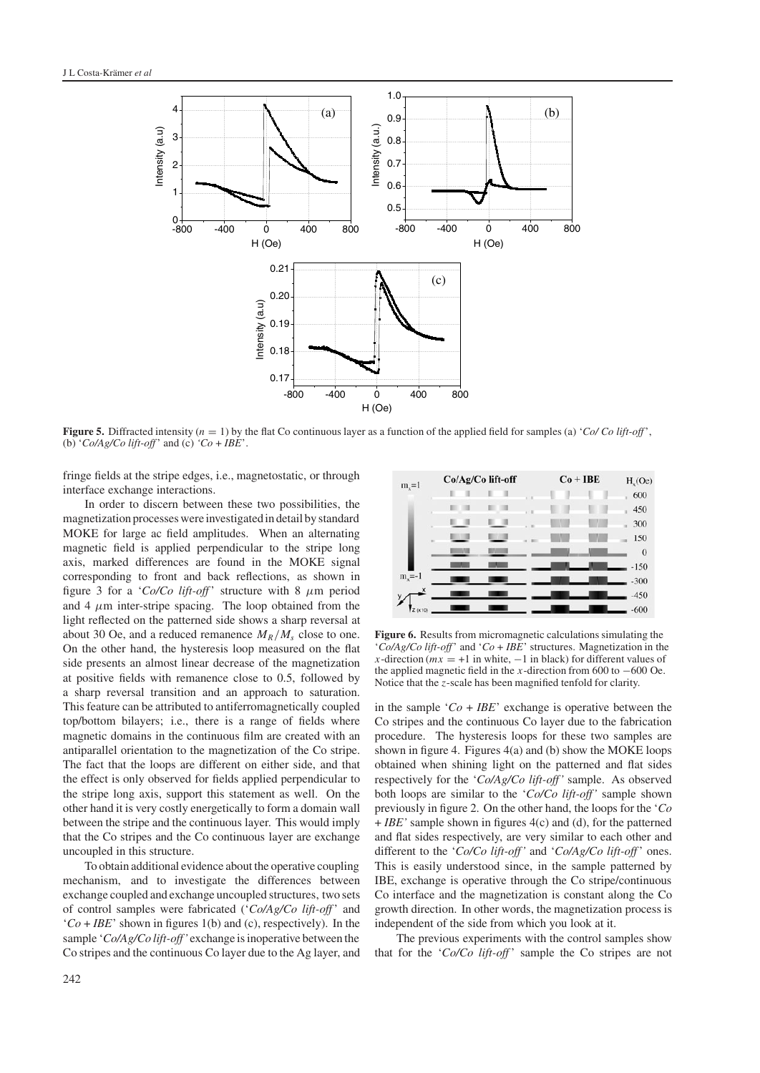

**Figure 5.** Diffracted intensity  $(n = 1)$  by the flat Co continuous layer as a function of the applied field for samples (a) '*Co/ Co lift-off'*, (b) '*Co/Ag/Co lift-off*' and (c) *'Co* + *IBE*'.

fringe fields at the stripe edges, i.e., magnetostatic, or through interface exchange interactions.

In order to discern between these two possibilities, the magnetization processes were investigated in detail by standard MOKE for large ac field amplitudes. When an alternating magnetic field is applied perpendicular to the stripe long axis, marked differences are found in the MOKE signal corresponding to front and back reflections, as shown in figure 3 for a ' $Co/Co$  lift-off' structure with 8  $\mu$ m period and 4  $\mu$ m inter-stripe spacing. The loop obtained from the light reflected on the patterned side shows a sharp reversal at about 30 Oe, and a reduced remanence  $M_R/M_s$  close to one. On the other hand, the hysteresis loop measured on the flat side presents an almost linear decrease of the magnetization at positive fields with remanence close to 0.5, followed by a sharp reversal transition and an approach to saturation. This feature can be attributed to antiferromagnetically coupled top/bottom bilayers; i.e., there is a range of fields where magnetic domains in the continuous film are created with an antiparallel orientation to the magnetization of the Co stripe. The fact that the loops are different on either side, and that the effect is only observed for fields applied perpendicular to the stripe long axis, support this statement as well. On the other hand it is very costly energetically to form a domain wall between the stripe and the continuous layer. This would imply that the Co stripes and the Co continuous layer are exchange uncoupled in this structure.

To obtain additional evidence about the operative coupling mechanism, and to investigate the differences between exchange coupled and exchange uncoupled structures, two sets of control samples were fabricated ('*Co/Ag/Co lift-off*' and '*Co* + *IBE*' shown in figures 1(b) and (c), respectively). In the sample '*Co/Ag/Co lift-off '* exchange is inoperative between the Co stripes and the continuous Co layer due to the Ag layer, and



**Figure 6.** Results from micromagnetic calculations simulating the '*Co/Ag/Co lift-off*' and '*Co* + *IBE*' structures. Magnetization in the *x*-direction ( $mx = +1$  in white,  $-1$  in black) for different values of the applied magnetic field in the *x*-direction from 600 to −600 Oe. Notice that the *z*-scale has been magnified tenfold for clarity.

in the sample  $\angle$ *Co* + *IBE* $\angle$  exchange is operative between the Co stripes and the continuous Co layer due to the fabrication procedure. The hysteresis loops for these two samples are shown in figure 4. Figures 4(a) and (b) show the MOKE loops obtained when shining light on the patterned and flat sides respectively for the '*Co/Ag/Co lift-off '* sample. As observed both loops are similar to the '*Co/Co lift-off '* sample shown previously in figure 2. On the other hand, the loops for the '*Co* + *IBE'* sample shown in figures 4(c) and (d), for the patterned and flat sides respectively, are very similar to each other and different to the '*Co/Co lift-off '* and '*Co/Ag/Co lift-off* ' ones. This is easily understood since, in the sample patterned by IBE, exchange is operative through the Co stripe/continuous Co interface and the magnetization is constant along the Co growth direction. In other words, the magnetization process is independent of the side from which you look at it.

The previous experiments with the control samples show that for the '*Co/Co lift-off* ' sample the Co stripes are not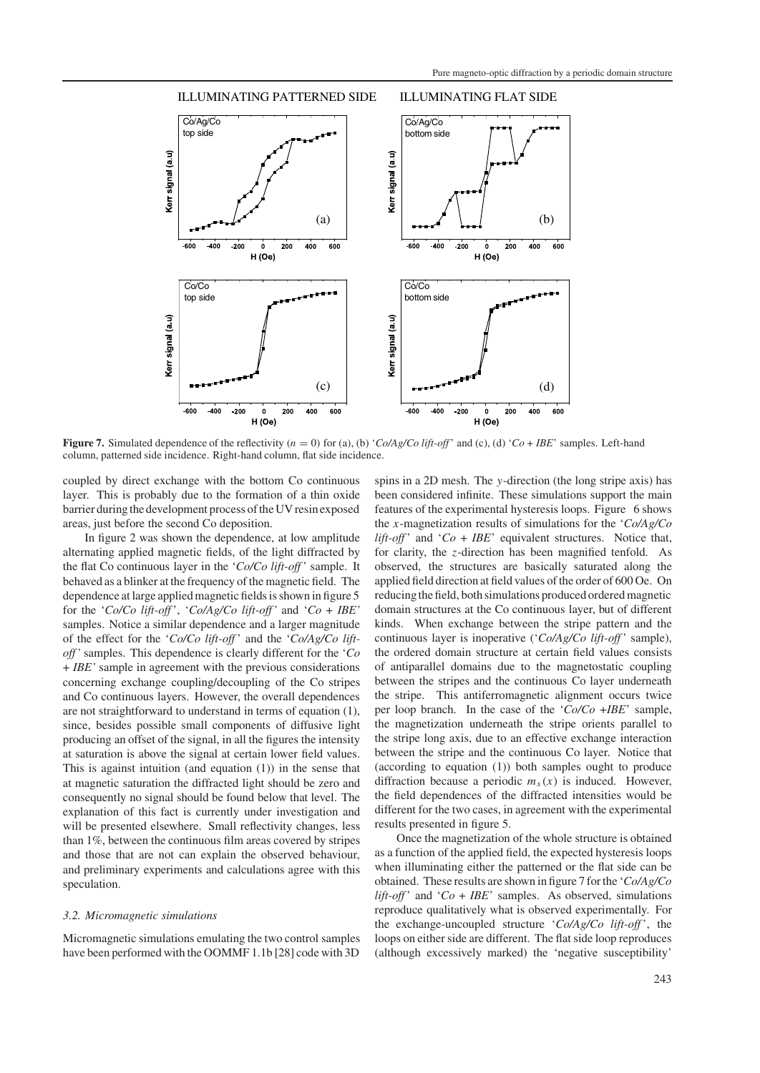

**Figure 7.** Simulated dependence of the reflectivity  $(n = 0)$  for (a), (b) '*Co/Ag/Co lift-off*' and (c), (d) '*Co + IBE*' samples. Left-hand column, patterned side incidence. Right-hand column, flat side incidence.

coupled by direct exchange with the bottom Co continuous layer. This is probably due to the formation of a thin oxide barrier during the development process of the UV resin exposed areas, just before the second Co deposition.

In figure 2 was shown the dependence, at low amplitude alternating applied magnetic fields, of the light diffracted by the flat Co continuous layer in the '*Co/Co lift-off* ' sample. It behaved as a blinker at the frequency of the magnetic field. The dependence at large applied magnetic fields is shown in figure 5 for the '*Co/Co lift-off* ', '*Co/Ag/Co lift-off '* and '*Co* + *IBE'* samples. Notice a similar dependence and a larger magnitude of the effect for the '*Co/Co lift-off* ' and the '*Co/Ag/Co liftoff '* samples. This dependence is clearly different for the '*Co* + *IBE'* sample in agreement with the previous considerations concerning exchange coupling/decoupling of the Co stripes and Co continuous layers. However, the overall dependences are not straightforward to understand in terms of equation (1), since, besides possible small components of diffusive light producing an offset of the signal, in all the figures the intensity at saturation is above the signal at certain lower field values. This is against intuition (and equation (1)) in the sense that at magnetic saturation the diffracted light should be zero and consequently no signal should be found below that level. The explanation of this fact is currently under investigation and will be presented elsewhere. Small reflectivity changes, less than 1%, between the continuous film areas covered by stripes and those that are not can explain the observed behaviour, and preliminary experiments and calculations agree with this speculation.

#### *3.2. Micromagnetic simulations*

Micromagnetic simulations emulating the two control samples have been performed with the OOMMF 1.1b [28] code with 3D

spins in a 2D mesh. The *y*-direction (the long stripe axis) has been considered infinite. These simulations support the main features of the experimental hysteresis loops. Figure 6 shows the *x*-magnetization results of simulations for the '*Co/Ag/Co lift-off*' and '*Co* + *IBE*' equivalent structures. Notice that, for clarity, the *z*-direction has been magnified tenfold. As observed, the structures are basically saturated along the applied field direction at field values of the order of 600 Oe. On reducing the field, both simulations produced ordered magnetic domain structures at the Co continuous layer, but of different kinds. When exchange between the stripe pattern and the continuous layer is inoperative ('*Co/Ag/Co lift-off* ' sample), the ordered domain structure at certain field values consists of antiparallel domains due to the magnetostatic coupling between the stripes and the continuous Co layer underneath the stripe. This antiferromagnetic alignment occurs twice per loop branch. In the case of the '*Co/Co* +*IBE*' sample, the magnetization underneath the stripe orients parallel to the stripe long axis, due to an effective exchange interaction between the stripe and the continuous Co layer. Notice that (according to equation (1)) both samples ought to produce diffraction because a periodic  $m<sub>x</sub>(x)$  is induced. However, the field dependences of the diffracted intensities would be different for the two cases, in agreement with the experimental results presented in figure 5.

Once the magnetization of the whole structure is obtained as a function of the applied field, the expected hysteresis loops when illuminating either the patterned or the flat side can be obtained. These results are shown in figure 7 for the '*Co/Ag/Co lift-off*' and '*Co* + *IBE*' samples. As observed, simulations reproduce qualitatively what is observed experimentally. For the exchange-uncoupled structure '*Co/Ag/Co lift-off* ', the loops on either side are different. The flat side loop reproduces (although excessively marked) the 'negative susceptibility'